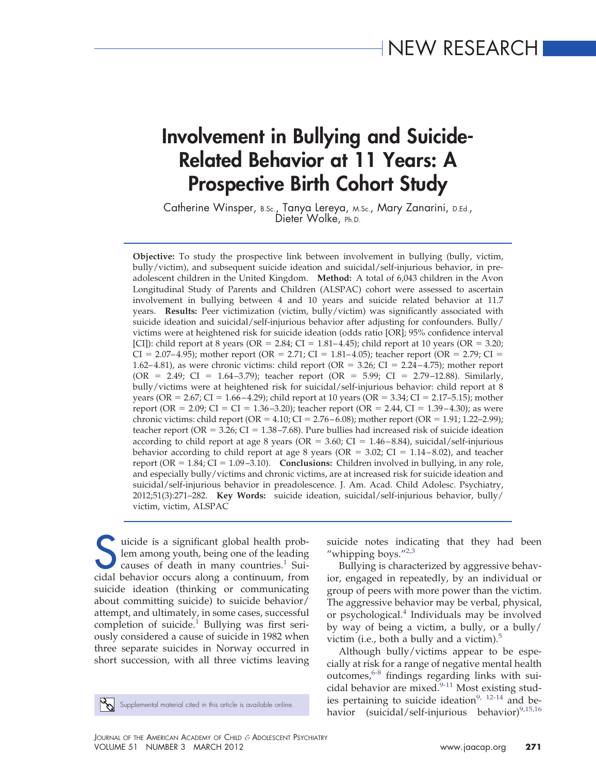# **Involvement in Bullying and Suicide-Related Behavior at 11 Years: A Prospective Birth Cohort Study**

Catherine Winsper, B.Sc., Tanya Lereya, M.Sc., Mary Zanarini, D.Ed., Dieter Wolke, Ph.D.

**Objective:** To study the prospective link between involvement in bullying (bully, victim, bully/victim), and subsequent suicide ideation and suicidal/self-injurious behavior, in preadolescent children in the United Kingdom. **Method:** A total of 6,043 children in the Avon Longitudinal Study of Parents and Children (ALSPAC) cohort were assessed to ascertain involvement in bullying between 4 and 10 years and suicide related behavior at 11.7 years. **Results:** Peer victimization (victim, bully/victim) was significantly associated with suicide ideation and suicidal/self-injurious behavior after adjusting for confounders. Bully/ victims were at heightened risk for suicide ideation (odds ratio [OR]; 95% confidence interval [CI]): child report at 8 years (OR = 2.84; CI =  $1.81-4.45$ ); child report at 10 years (OR = 3.20;  $CI = 2.07–4.95$ ; mother report (OR = 2.71;  $CI = 1.81–4.05$ ); teacher report (OR = 2.79;  $CI =$ 1.62–4.81), as were chronic victims: child report (OR = 3.26; CI = 2.24–4.75); mother report (OR = 2.49; CI = 1.64 –3.79); teacher report (OR = 5.99; CI = 2.79 –12.88). Similarly, bully/victims were at heightened risk for suicidal/self-injurious behavior: child report at 8 years (OR = 2.67; CI = 1.66–4.29); child report at 10 years (OR = 3.34; CI = 2.17–5.15); mother report (OR = 2.09; CI = CI = 1.36 – 3.20); teacher report (OR = 2.44, CI = 1.39 – 4.30); as were chronic victims: child report (OR =  $4.10$ ; CI =  $2.76 - 6.08$ ); mother report (OR =  $1.91$ ; 1.22–2.99); teacher report (OR = 3.26; CI = 1.38 – 7.68). Pure bullies had increased risk of suicide ideation according to child report at age 8 years (OR =  $3.60$ ; CI =  $1.46 - 8.84$ ), suicidal/self-injurious behavior according to child report at age 8 years (OR =  $3.02$ ; CI =  $1.14-8.02$ ), and teacher report ( $OR = 1.84$ ;  $CI = 1.09 - 3.10$ ). **Conclusions:** Children involved in bullying, in any role, and especially bully/victims and chronic victims, are at increased risk for suicide ideation and suicidal/self-injurious behavior in preadolescence. J. Am. Acad. Child Adolesc. Psychiatry, 2012;51(3):271–282. **Key Words:** suicide ideation, suicidal/self-injurious behavior, bully/ victim, victim, ALSPAC

solution is a significant global health prob-<br>lem among youth, being one of the leading<br>cidal hebavior occurs along a continuum from lem among youth, being one of the leading causes of death in many countries.<sup>1</sup> Suicidal behavior occurs along a continuum, from suicide ideation (thinking or communicating about committing suicide) to suicide behavior/ attempt, and ultimately, in some cases, successful completion of suicide.<sup>[1](#page-10-0)</sup> Bullying was first seriously considered a cause of suicide in 1982 when three separate suicides in Norway occurred in short succession, with all three victims leaving

suicide notes indicating that they had been "whipping boys."<sup>2,3</sup>

Bullying is characterized by aggressive behavior, engaged in repeatedly, by an individual or group of peers with more power than the victim. The aggressive behavior may be verbal, physical, or psychological. $4$  Individuals may be involved by way of being a victim, a bully, or a bully/ victim (i.e., both a bully and a victim). $5$ 

Although bully/victims appear to be especially at risk for a range of negative mental health outcomes, $6-8$  findings regarding links with suicidal behavior are mixed.  $\frac{6}{9}$ -11 Most existing studies pertaining to suicide ideation<sup>9, 12-14</sup> and be-Supplemental material cited in this article is available online.<br> **havior** (suicidal/self-injurious behavior)<sup>[9,15,16](#page-10-5)</sup><br>
havior (suicidal/self-injurious behavior)<sup>9,15,16</sup>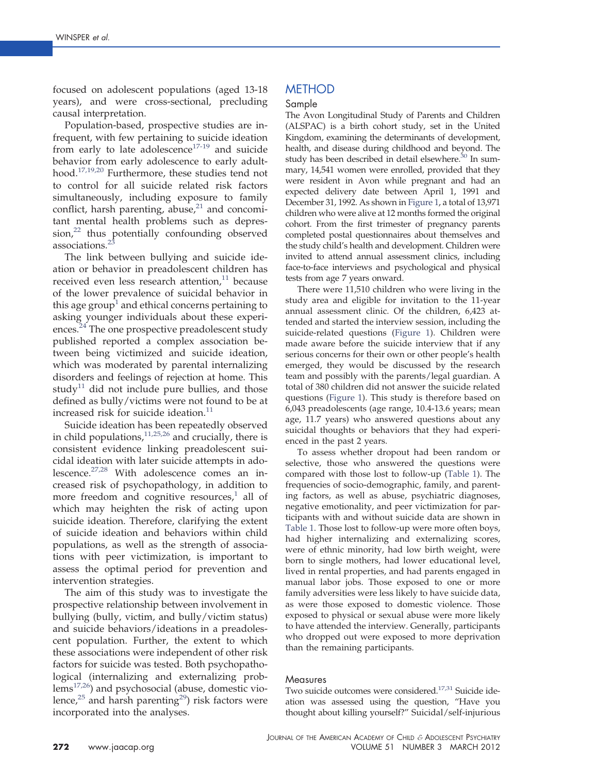focused on adolescent populations (aged 13-18 years), and were cross-sectional, precluding causal interpretation.

Population-based, prospective studies are infrequent, with few pertaining to suicide ideation from early to late adolescence<sup>17-19</sup> and suicide behavior from early adolescence to early adulthood[.17,19,20](#page-10-6) Furthermore, these studies tend not to control for all suicide related risk factors simultaneously, including exposure to family conflict, harsh parenting, abuse, $21$  and concomitant mental health problems such as depres-sion,<sup>[22](#page-10-8)</sup> thus potentially confounding observed associations.<sup>2</sup>

The link between bullying and suicide ideation or behavior in preadolescent children has received even less research attention, $11$  because of the lower prevalence of suicidal behavior in this age group<sup> $\pm$ </sup> and ethical concerns pertaining to asking younger individuals about these experiences.<sup>24</sup> The one prospective preadolescent study published reported a complex association between being victimized and suicide ideation, which was moderated by parental internalizing disorders and feelings of rejection at home. This study<sup>[11](#page-10-10)</sup> did not include pure bullies, and those defined as bully/victims were not found to be at increased risk for suicide ideation. $11$ 

Suicide ideation has been repeatedly observed in child populations,  $11,25,26$  and crucially, there is consistent evidence linking preadolescent suicidal ideation with later suicide attempts in adolescence[.27,28](#page-10-12) With adolescence comes an increased risk of psychopathology, in addition to more freedom and cognitive resources, $<sup>1</sup>$  $<sup>1</sup>$  $<sup>1</sup>$  all of</sup> which may heighten the risk of acting upon suicide ideation. Therefore, clarifying the extent of suicide ideation and behaviors within child populations, as well as the strength of associations with peer victimization, is important to assess the optimal period for prevention and intervention strategies.

The aim of this study was to investigate the prospective relationship between involvement in bullying (bully, victim, and bully/victim status) and suicide behaviors/ideations in a preadolescent population. Further, the extent to which these associations were independent of other risk factors for suicide was tested. Both psychopathological (internalizing and externalizing prob $lems^{17,26}$ ) and psychosocial (abuse, domestic violence, $25$  and harsh parenting $29$ ) risk factors were incorporated into the analyses.

# METHOD

## Sample

The Avon Longitudinal Study of Parents and Children (ALSPAC) is a birth cohort study, set in the United Kingdom, examining the determinants of development, health, and disease during childhood and beyond. The study has been described in detail elsewhere.<sup>30</sup> In summary, 14,541 women were enrolled, provided that they were resident in Avon while pregnant and had an expected delivery date between April 1, 1991 and December 31, 1992. As shown in [Figure 1,](#page-2-0) a total of 13,971 children who were alive at 12 months formed the original cohort. From the first trimester of pregnancy parents completed postal questionnaires about themselves and the study child's health and development. Children were invited to attend annual assessment clinics, including face-to-face interviews and psychological and physical tests from age 7 years onward.

There were 11,510 children who were living in the study area and eligible for invitation to the 11-year annual assessment clinic. Of the children, 6,423 attended and started the interview session, including the suicide-related questions [\(Figure 1\)](#page-2-0). Children were made aware before the suicide interview that if any serious concerns for their own or other people's health emerged, they would be discussed by the research team and possibly with the parents/legal guardian. A total of 380 children did not answer the suicide related questions [\(Figure 1\)](#page-2-0). This study is therefore based on 6,043 preadolescents (age range, 10.4-13.6 years; mean age, 11.7 years) who answered questions about any suicidal thoughts or behaviors that they had experienced in the past 2 years.

To assess whether dropout had been random or selective, those who answered the questions were compared with those lost to follow-up [\(Table 1\)](#page-3-0). The frequencies of socio-demographic, family, and parenting factors, as well as abuse, psychiatric diagnoses, negative emotionality, and peer victimization for participants with and without suicide data are shown in [Table 1.](#page-3-0) Those lost to follow-up were more often boys, had higher internalizing and externalizing scores, were of ethnic minority, had low birth weight, were born to single mothers, had lower educational level, lived in rental properties, and had parents engaged in manual labor jobs. Those exposed to one or more family adversities were less likely to have suicide data, as were those exposed to domestic violence. Those exposed to physical or sexual abuse were more likely to have attended the interview. Generally, participants who dropped out were exposed to more deprivation than the remaining participants.

### **Measures**

Two suicide outcomes were considered.<sup>17,31</sup> Suicide ideation was assessed using the question, "Have you thought about killing yourself?" Suicidal/self-injurious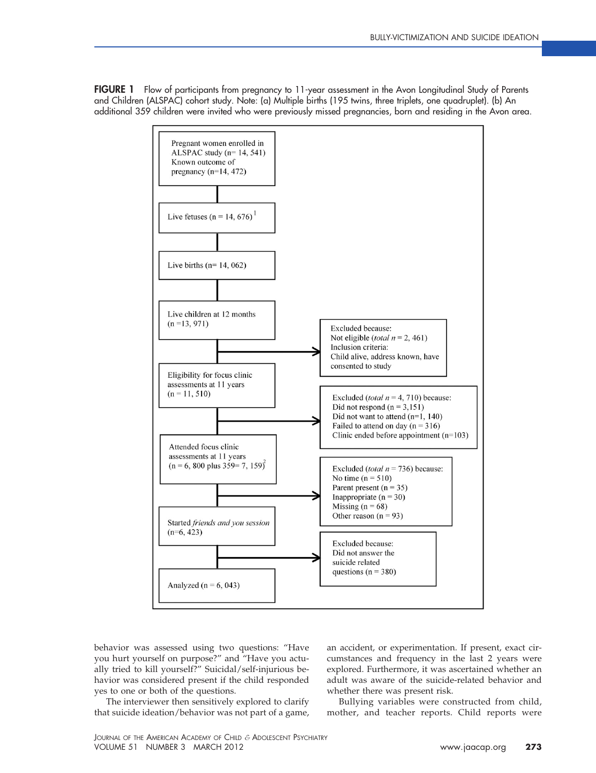<span id="page-2-0"></span>**FIGURE 1** Flow of participants from pregnancy to 11-year assessment in the Avon Longitudinal Study of Parents and Children (ALSPAC) cohort study. Note: (a) Multiple births (195 twins, three triplets, one quadruplet). (b) An additional 359 children were invited who were previously missed pregnancies, born and residing in the Avon area.



behavior was assessed using two questions: "Have you hurt yourself on purpose?" and "Have you actually tried to kill yourself?" Suicidal/self-injurious behavior was considered present if the child responded yes to one or both of the questions.

The interviewer then sensitively explored to clarify that suicide ideation/behavior was not part of a game,

an accident, or experimentation. If present, exact circumstances and frequency in the last 2 years were explored. Furthermore, it was ascertained whether an adult was aware of the suicide-related behavior and whether there was present risk.

Bullying variables were constructed from child, mother, and teacher reports. Child reports were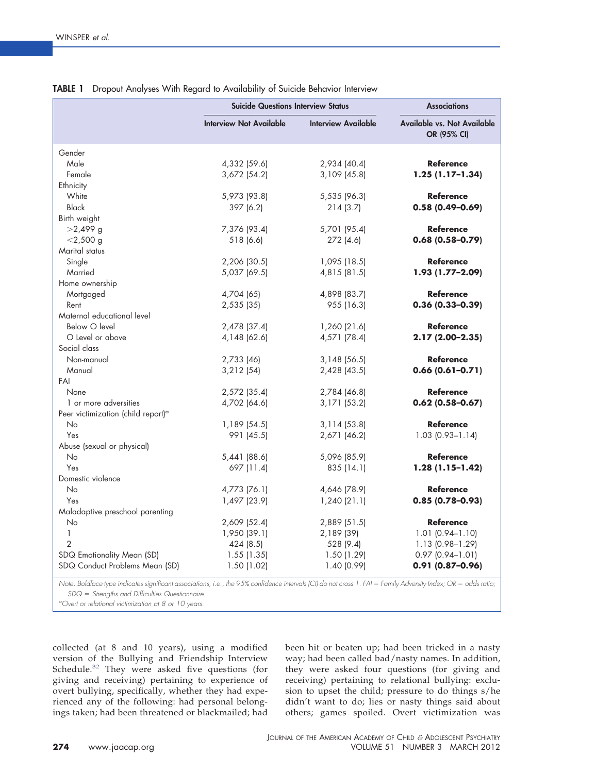|                                                                                                                                                                                                  | <b>Suicide Questions Interview Status</b> | <b>Associations</b> |                                                   |
|--------------------------------------------------------------------------------------------------------------------------------------------------------------------------------------------------|-------------------------------------------|---------------------|---------------------------------------------------|
|                                                                                                                                                                                                  | <b>Interview Not Available</b>            | Interview Available | <b>Available vs. Not Available</b><br>OR (95% CI) |
| Gender                                                                                                                                                                                           |                                           |                     |                                                   |
| Male                                                                                                                                                                                             | 4,332 (59.6)                              | 2,934 (40.4)        | <b>Reference</b>                                  |
| Female                                                                                                                                                                                           | 3,672 (54.2)                              | $3,109$ (45.8)      | $1.25(1.17-1.34)$                                 |
| Ethnicity                                                                                                                                                                                        |                                           |                     |                                                   |
| White                                                                                                                                                                                            | 5,973 (93.8)                              | 5,535 (96.3)        | <b>Reference</b>                                  |
| <b>Black</b>                                                                                                                                                                                     | 397 (6.2)                                 | 214(3.7)            | $0.58(0.49 - 0.69)$                               |
| Birth weight                                                                                                                                                                                     |                                           |                     |                                                   |
| $>2,499$ g                                                                                                                                                                                       | 7,376 (93.4)                              | 5,701 (95.4)        | <b>Reference</b>                                  |
| $<$ 2,500 g                                                                                                                                                                                      | 518 (6.6)                                 | 272 (4.6)           | $0.68(0.58 - 0.79)$                               |
| Marital status                                                                                                                                                                                   |                                           |                     |                                                   |
| Single                                                                                                                                                                                           | 2,206 (30.5)                              | 1,095(18.5)         | <b>Reference</b>                                  |
| Married                                                                                                                                                                                          | 5,037 (69.5)                              | 4,815 (81.5)        | 1.93 (1.77-2.09)                                  |
| Home ownership                                                                                                                                                                                   |                                           |                     |                                                   |
| Mortgaged                                                                                                                                                                                        | 4,704 (65)                                | 4,898 (83.7)        | <b>Reference</b>                                  |
| Rent                                                                                                                                                                                             | 2,535(35)                                 | 955 (16.3)          | $0.36(0.33 - 0.39)$                               |
| Maternal educational level                                                                                                                                                                       |                                           |                     |                                                   |
| Below O level                                                                                                                                                                                    | 2,478 (37.4)                              | 1,260 (21.6)        | <b>Reference</b>                                  |
| O Level or above                                                                                                                                                                                 | 4,148 (62.6)                              | 4,571 (78.4)        | 2.17 (2.00-2.35)                                  |
| Social class                                                                                                                                                                                     |                                           |                     |                                                   |
| Non-manual                                                                                                                                                                                       | 2,733 (46)                                | 3,148(56.5)         | <b>Reference</b>                                  |
| Manual                                                                                                                                                                                           | 3,212(54)                                 | 2,428 (43.5)        | $0.66(0.61 - 0.71)$                               |
| FAI                                                                                                                                                                                              |                                           |                     |                                                   |
| None                                                                                                                                                                                             | 2,572 (35.4)                              | 2,784 (46.8)        | <b>Reference</b>                                  |
| 1 or more adversities                                                                                                                                                                            | 4,702 (64.6)                              | 3,171 (53.2)        | $0.62(0.58 - 0.67)$                               |
| Peer victimization (child report) <sup>a</sup>                                                                                                                                                   |                                           |                     |                                                   |
| <b>No</b>                                                                                                                                                                                        | 1,189 (54.5)                              | 3,114(53.8)         | <b>Reference</b>                                  |
| Yes                                                                                                                                                                                              | 991 (45.5)                                | 2,671 (46.2)        | $1.03$ $(0.93 - 1.14)$                            |
| Abuse (sexual or physical)                                                                                                                                                                       |                                           |                     |                                                   |
| No                                                                                                                                                                                               | 5,441 (88.6)                              | 5,096 (85.9)        | <b>Reference</b>                                  |
| Yes                                                                                                                                                                                              | 697 (11.4)                                | 835 (14.1)          | $1.28(1.15-1.42)$                                 |
| Domestic violence                                                                                                                                                                                |                                           |                     |                                                   |
| <b>No</b>                                                                                                                                                                                        |                                           |                     | <b>Reference</b>                                  |
| Yes                                                                                                                                                                                              | 4,773 (76.1)                              | 4,646 (78.9)        | $0.85(0.78 - 0.93)$                               |
|                                                                                                                                                                                                  | 1,497 (23.9)                              | 1,240(21.1)         |                                                   |
| Maladaptive preschool parenting                                                                                                                                                                  |                                           |                     |                                                   |
| No<br>$\mathbf{1}$                                                                                                                                                                               | 2,609 (52.4)                              | 2,889 (51.5)        | <b>Reference</b>                                  |
|                                                                                                                                                                                                  | 1,950 (39.1)                              | 2,189 (39)          | $1.01$ $(0.94 - 1.10)$                            |
| 2                                                                                                                                                                                                | 424 (8.5)                                 | 528 (9.4)           | 1.13 (0.98-1.29)                                  |
| SDQ Emotionality Mean (SD)                                                                                                                                                                       | 1.55(1.35)                                | 1.50(1.29)          | $0.97$ $(0.94 - 1.01)$                            |
| SDQ Conduct Problems Mean (SD)<br>Note: Boldface type indicates significant associations, i.e., the 95% confidence intervals (CI) do not cross 1. FAI = Family Adversity Index; OR = odds ratio; | 1.50(1.02)                                | 1.40 (0.99)         | $0.91(0.87 - 0.96)$                               |

## <span id="page-3-0"></span>**TABLE 1** Dropout Analyses With Regard to Availability of Suicide Behavior Interview

*Note: Boldface type indicates significant associations, i.e., the 95% confidence intervals (CI) do not cross 1. FAI Family Adversity Index; OR odds ratio; SDQ Strengths and Difficulties Questionnaire.*

*a Overt or relational victimization at 8 or 10 years.*

collected (at 8 and 10 years), using a modified version of the Bullying and Friendship Interview Schedule.<sup>[32](#page-11-2)</sup> They were asked five questions (for giving and receiving) pertaining to experience of overt bullying, specifically, whether they had experienced any of the following: had personal belongings taken; had been threatened or blackmailed; had

been hit or beaten up; had been tricked in a nasty way; had been called bad/nasty names. In addition, they were asked four questions (for giving and receiving) pertaining to relational bullying: exclusion to upset the child; pressure to do things s/he didn't want to do; lies or nasty things said about others; games spoiled. Overt victimization was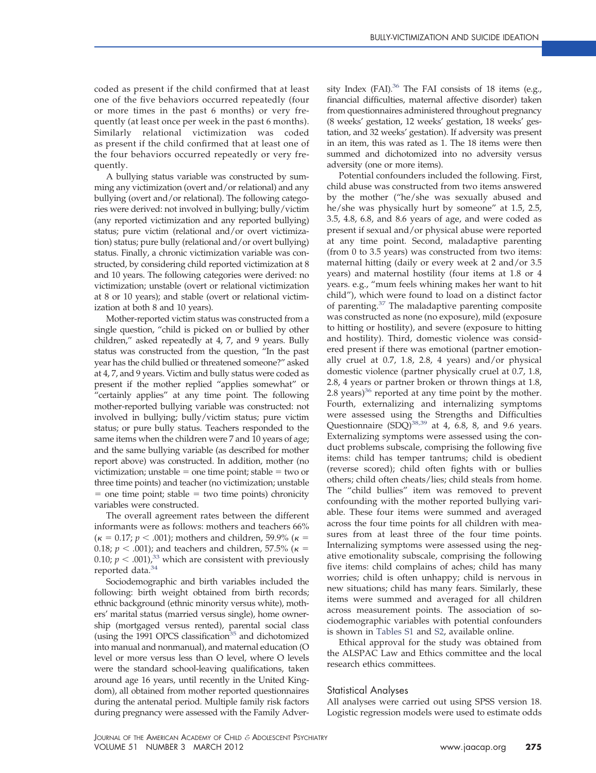coded as present if the child confirmed that at least one of the five behaviors occurred repeatedly (four or more times in the past 6 months) or very frequently (at least once per week in the past 6 months). Similarly relational victimization was coded as present if the child confirmed that at least one of the four behaviors occurred repeatedly or very frequently.

A bullying status variable was constructed by summing any victimization (overt and/or relational) and any bullying (overt and/or relational). The following categories were derived: not involved in bullying; bully/victim (any reported victimization and any reported bullying) status; pure victim (relational and/or overt victimization) status; pure bully (relational and/or overt bullying) status. Finally, a chronic victimization variable was constructed, by considering child reported victimization at 8 and 10 years. The following categories were derived: no victimization; unstable (overt or relational victimization at 8 or 10 years); and stable (overt or relational victimization at both 8 and 10 years).

Mother-reported victim status was constructed from a single question, "child is picked on or bullied by other children," asked repeatedly at 4, 7, and 9 years. Bully status was constructed from the question, "In the past year has the child bullied or threatened someone?" asked at 4, 7, and 9 years. Victim and bully status were coded as present if the mother replied "applies somewhat" or "certainly applies" at any time point. The following mother-reported bullying variable was constructed: not involved in bullying; bully/victim status; pure victim status; or pure bully status. Teachers responded to the same items when the children were 7 and 10 years of age; and the same bullying variable (as described for mother report above) was constructed. In addition, mother (no victimization; unstable = one time point; stable = two or three time points) and teacher (no victimization; unstable  $=$  one time point; stable  $=$  two time points) chronicity variables were constructed.

The overall agreement rates between the different informants were as follows: mothers and teachers 66%  $({\kappa} = 0.17; p < .001)$ ; mothers and children, 59.9% ( ${\kappa} =$ 0.18;  $p < .001$ ); and teachers and children, 57.5% ( $\kappa$  = 0.10;  $p < .001$ ,<sup>33</sup> which are consistent with previously reported data. $^{34}$ 

Sociodemographic and birth variables included the following: birth weight obtained from birth records; ethnic background (ethnic minority versus white), mothers' marital status (married versus single), home ownership (mortgaged versus rented), parental social class (using the 1991 OPCS classification<sup>35</sup> and dichotomized into manual and nonmanual), and maternal education (O level or more versus less than O level, where O levels were the standard school-leaving qualifications, taken around age 16 years, until recently in the United Kingdom), all obtained from mother reported questionnaires during the antenatal period. Multiple family risk factors during pregnancy were assessed with the Family Adversity Index (FAI).<sup>36</sup> The FAI consists of 18 items (e.g., financial difficulties, maternal affective disorder) taken from questionnaires administered throughout pregnancy (8 weeks' gestation, 12 weeks' gestation, 18 weeks' gestation, and 32 weeks' gestation). If adversity was present in an item, this was rated as 1. The 18 items were then summed and dichotomized into no adversity versus adversity (one or more items).

Potential confounders included the following. First, child abuse was constructed from two items answered by the mother ("he/she was sexually abused and he/she was physically hurt by someone" at 1.5, 2.5, 3.5, 4.8, 6.8, and 8.6 years of age, and were coded as present if sexual and/or physical abuse were reported at any time point. Second, maladaptive parenting (from 0 to 3.5 years) was constructed from two items: maternal hitting (daily or every week at 2 and/or 3.5 years) and maternal hostility (four items at 1.8 or 4 years. e.g., "mum feels whining makes her want to hit child"), which were found to load on a distinct factor of parenting[.37](#page-11-7) The maladaptive parenting composite was constructed as none (no exposure), mild (exposure to hitting or hostility), and severe (exposure to hitting and hostility). Third, domestic violence was considered present if there was emotional (partner emotionally cruel at 0.7, 1.8, 2.8, 4 years) and/or physical domestic violence (partner physically cruel at 0.7, 1.8, 2.8, 4 years or partner broken or thrown things at 1.8, 2.8 years) $36$  reported at any time point by the mother. Fourth, externalizing and internalizing symptoms were assessed using the Strengths and Difficulties Questionnaire  $(SDQ)^{38,39}$  at 4, 6.8, 8, and 9.6 years. Externalizing symptoms were assessed using the conduct problems subscale, comprising the following five items: child has temper tantrums; child is obedient (reverse scored); child often fights with or bullies others; child often cheats/lies; child steals from home. The "child bullies" item was removed to prevent confounding with the mother reported bullying variable. These four items were summed and averaged across the four time points for all children with measures from at least three of the four time points. Internalizing symptoms were assessed using the negative emotionality subscale, comprising the following five items: child complains of aches; child has many worries; child is often unhappy; child is nervous in new situations; child has many fears. Similarly, these items were summed and averaged for all children across measurement points. The association of sociodemographic variables with potential confounders is shown in [Tables S1](#page-12-0) and [S2,](#page-13-0) available online.

Ethical approval for the study was obtained from the ALSPAC Law and Ethics committee and the local research ethics committees.

#### Statistical Analyses

All analyses were carried out using SPSS version 18. Logistic regression models were used to estimate odds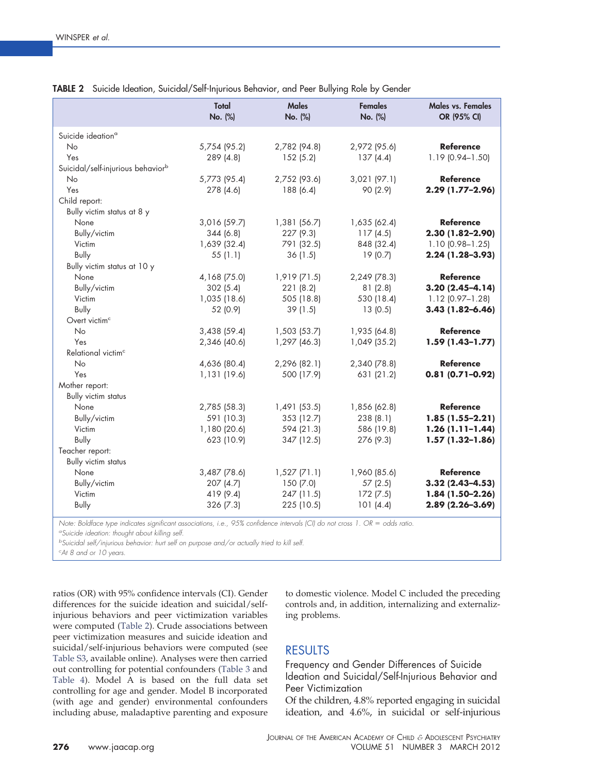|                                               | Total<br>No. (%) | <b>Males</b><br>No. (%) | <b>Females</b><br>No. (%) | Males vs. Females<br>OR (95% CI) |
|-----------------------------------------------|------------------|-------------------------|---------------------------|----------------------------------|
| Suicide ideation <sup>a</sup>                 |                  |                         |                           |                                  |
| <b>No</b>                                     | 5,754 (95.2)     | 2,782 (94.8)            | 2,972 (95.6)              | <b>Reference</b>                 |
| Yes                                           | 289 (4.8)        | 152(5.2)                | 137(4.4)                  | 1.19 (0.94-1.50)                 |
| Suicidal/self-injurious behavior <sup>b</sup> |                  |                         |                           |                                  |
| <b>No</b>                                     | 5,773 (95.4)     | 2,752 (93.6)            | $3,021$ (97.1)            | <b>Reference</b>                 |
| Yes                                           | 278 (4.6)        | 188 (6.4)               | 90 (2.9)                  | 2.29 (1.77-2.96)                 |
| Child report:                                 |                  |                         |                           |                                  |
| Bully victim status at 8 y                    |                  |                         |                           |                                  |
| None                                          | 3,016 (59.7)     | 1,381 (56.7)            | 1,635 (62.4)              | <b>Reference</b>                 |
| Bully/victim                                  | 344 (6.8)        | 227 (9.3)               | 117(4.5)                  | 2.30 (1.82-2.90)                 |
| Victim                                        | 1,639 (32.4)     | 791 (32.5)              | 848 (32.4)                | $1.10(0.98 - 1.25)$              |
| <b>Bully</b>                                  | 55(1.1)          | 36(1.5)                 | 19 (0.7)                  | 2.24 (1.28-3.93)                 |
| Bully victim status at 10 y                   |                  |                         |                           |                                  |
| None                                          | 4,168 (75.0)     | $1,919$ (71.5)          | 2,249 (78.3)              | <b>Reference</b>                 |
| Bully/victim                                  | 302(5.4)         | 221(8.2)                | 81(2.8)                   | $3.20(2.45 - 4.14)$              |
| Victim                                        | 1,035 (18.6)     | 505 (18.8)              | 530 (18.4)                | $1.12$ (0.97-1.28)               |
| Bully                                         | 52 (0.9)         | 39(1.5)                 | 13(0.5)                   | $3.43(1.82 - 6.46)$              |
| Overt victim <sup>c</sup>                     |                  |                         |                           |                                  |
| <b>No</b>                                     | 3,438(59.4)      | 1,503(53.7)             | 1,935 (64.8)              | <b>Reference</b>                 |
| Yes                                           | 2,346 (40.6)     | 1,297 (46.3)            | 1,049 (35.2)              | $1.59(1.43 - 1.77)$              |
| Relational victim <sup>c</sup>                |                  |                         |                           |                                  |
| No                                            | 4,636 (80.4)     | 2,296 (82.1)            | 2,340 (78.8)              | <b>Reference</b>                 |
| Yes                                           | 1,131 (19.6)     | 500 (17.9)              | 631 (21.2)                | $0.81(0.71 - 0.92)$              |
| Mother report:                                |                  |                         |                           |                                  |
| <b>Bully victim status</b>                    |                  |                         |                           |                                  |
| None                                          | 2,785 (58.3)     | 1,491(53.5)             | 1,856 (62.8)              | <b>Reference</b>                 |
| Bully/victim                                  | 591 (10.3)       | 353 (12.7)              | 238(8.1)                  | $1.85(1.55-2.21)$                |
| Victim                                        | 1,180 (20.6)     | 594 (21.3)              | 586 (19.8)                | $1.26(1.11-1.44)$                |
| <b>Bully</b>                                  | 623 (10.9)       | 347 (12.5)              | 276 (9.3)                 | $1.57(1.32-1.86)$                |
| Teacher report:                               |                  |                         |                           |                                  |
| <b>Bully victim status</b>                    |                  |                         |                           |                                  |
| None                                          | 3,487 (78.6)     | $1,527$ (71.1)          | 1,960 (85.6)              | <b>Reference</b>                 |
| Bully/victim                                  | 207(4.7)         | 150(7.0)                | 57 (2.5)                  | $3.32(2.43 - 4.53)$              |
| Victim                                        | 419 (9.4)        | 247 (11.5)              | 172(7.5)                  | $1.84(1.50-2.26)$                |
| Bully                                         | 326 (7.3)        | 225 (10.5)              | 101(4.4)                  | $2.89(2.26 - 3.69)$              |
|                                               |                  |                         |                           |                                  |

#### <span id="page-5-0"></span>**TABLE 2** Suicide Ideation, Suicidal/Self-Injurious Behavior, and Peer Bullying Role by Gender

*Note: Boldface type indicates significant associations, i.e., 95% confidence intervals (CI) do not cross 1. OR odds ratio.*

*a Suicide ideation: thought about killing self.*

*b Suicidal self/injurious behavior: hurt self on purpose and/or actually tried to kill self.*

*c At 8 and or 10 years.*

ratios (OR) with 95% confidence intervals (CI). Gender differences for the suicide ideation and suicidal/selfinjurious behaviors and peer victimization variables were computed [\(Table 2\)](#page-5-0). Crude associations between peer victimization measures and suicide ideation and suicidal/self-injurious behaviors were computed (see [Table S3,](#page-14-0) available online). Analyses were then carried out controlling for potential confounders [\(Table 3](#page-6-0) and [Table 4\)](#page-7-0). Model A is based on the full data set controlling for age and gender. Model B incorporated (with age and gender) environmental confounders including abuse, maladaptive parenting and exposure

to domestic violence. Model C included the preceding controls and, in addition, internalizing and externalizing problems.

## RESULTS

Frequency and Gender Differences of Suicide Ideation and Suicidal/Self-Injurious Behavior and Peer Victimization

Of the children, 4.8% reported engaging in suicidal ideation, and 4.6%, in suicidal or self-injurious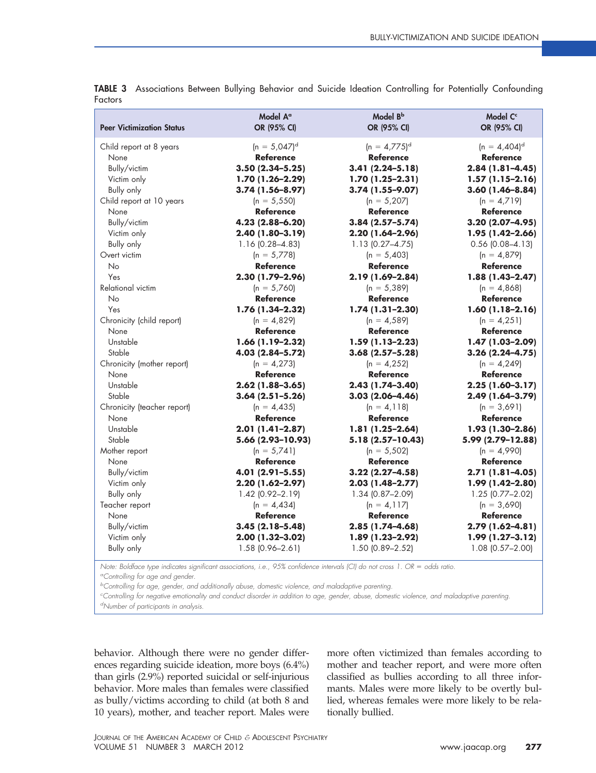| <b>Peer Victimization Status</b> | Model A <sup>a</sup><br>OR (95% CI) | Model B <sup>b</sup><br>OR (95% CI) | Model C <sup>c</sup><br>OR (95% CI) |
|----------------------------------|-------------------------------------|-------------------------------------|-------------------------------------|
| Child report at 8 years          | $(n = 5,047)^d$                     | $(n = 4.775)^d$                     | $(n = 4,404)^d$                     |
| None                             | <b>Reference</b>                    | <b>Reference</b>                    | <b>Reference</b>                    |
| Bully/victim                     | $3.50(2.34 - 5.25)$                 | $3.41(2.24 - 5.18)$                 | $2.84(1.81 - 4.45)$                 |
| Victim only                      | $1.70(1.26 - 2.29)$                 | $1.70(1.25-2.31)$                   | $1.57(1.15-2.16)$                   |
| Bully only                       | $3.74(1.56 - 8.97)$                 | $3.74(1.55 - 9.07)$                 | $3.60(1.46 - 8.84)$                 |
| Child report at 10 years         | $(n = 5,550)$                       | $(n = 5,207)$                       | $(n = 4.719)$                       |
| None                             | <b>Reference</b>                    | <b>Reference</b>                    | <b>Reference</b>                    |
| Bully/victim                     | 4.23 (2.88-6.20)                    | $3.84(2.57 - 5.74)$                 | $3.20(2.07 - 4.95)$                 |
| Victim only                      | 2.40 (1.80-3.19)                    | $2.20(1.64 - 2.96)$                 | $1.95(1.42 - 2.66)$                 |
| <b>Bully only</b>                | $1.16(0.28 - 4.83)$                 | $1.13$ (0.27-4.75)                  | $0.56$ $(0.08 - 4.13)$              |
| Overt victim                     | $(n = 5,778)$                       | $(n = 5,403)$                       | $(n = 4,879)$                       |
| <b>No</b>                        | <b>Reference</b>                    | <b>Reference</b>                    | <b>Reference</b>                    |
| Yes                              | 2.30 (1.79-2.96)                    | 2.19 (1.69-2.84)                    | $1.88(1.43 - 2.47)$                 |
| Relational victim                | $(n = 5,760)$                       | $(n = 5,389)$                       | $(n = 4,868)$                       |
| <b>No</b>                        | <b>Reference</b>                    | <b>Reference</b>                    | <b>Reference</b>                    |
| Yes                              | 1.76 (1.34-2.32)                    | $1.74(1.31 - 2.30)$                 | $1.60(1.18-2.16)$                   |
| Chronicity (child report)        | $(n = 4,829)$                       | $(n = 4,589)$                       | $(n = 4,251)$                       |
| None                             | <b>Reference</b>                    | <b>Reference</b>                    | <b>Reference</b>                    |
| Unstable                         | $1.66(1.19-2.32)$                   | $1.59(1.13 - 2.23)$                 | 1.47 (1.03-2.09)                    |
| Stable                           | 4.03 (2.84-5.72)                    | $3.68(2.57 - 5.28)$                 | $3.26(2.24 - 4.75)$                 |
| Chronicity (mother report)       | $(n = 4,273)$                       | $(n = 4,252)$                       | $(n = 4,249)$                       |
| None                             | <b>Reference</b>                    | <b>Reference</b>                    | <b>Reference</b>                    |
| Unstable                         | $2.62(1.88 - 3.65)$                 | $2.43(1.74-3.40)$                   | $2.25(1.60-3.17)$                   |
| Stable                           | $3.64(2.51 - 5.26)$                 | $3.03(2.06 - 4.46)$                 | 2.49 (1.64-3.79)                    |
| Chronicity (teacher report)      | $(n = 4, 435)$                      | $(n = 4, 118)$                      | $(n = 3,691)$                       |
| None                             | <b>Reference</b>                    | <b>Reference</b>                    | <b>Reference</b>                    |
| Unstable                         | $2.01(1.41 - 2.87)$                 | $1.81(1.25-2.64)$                   | 1.93 (1.30-2.86)                    |
| Stable                           | 5.66 (2.93-10.93)                   | 5.18 (2.57-10.43)                   | 5.99 (2.79-12.88)                   |
| Mother report                    | $(n = 5,741)$                       | $(n = 5,502)$                       | $(n = 4,990)$                       |
| None                             | <b>Reference</b>                    | <b>Reference</b>                    | <b>Reference</b>                    |
| Bully/victim                     | 4.01 (2.91-5.55)                    | $3.22(2.27 - 4.58)$                 | $2.71(1.81 - 4.05)$                 |
| Victim only                      | $2.20(1.62 - 2.97)$                 | $2.03(1.48 - 2.77)$                 | 1.99 (1.42-2.80)                    |
| <b>Bully only</b>                | 1.42 (0.92-2.19)                    | 1.34 (0.87-2.09)                    | $1.25$ (0.77-2.02)                  |
| Teacher report                   | $(n = 4, 434)$                      | $(n = 4, 117)$                      | $(n = 3,690)$                       |
| None                             | <b>Reference</b>                    | <b>Reference</b>                    | <b>Reference</b>                    |
| Bully/victim                     | $3.45(2.18 - 5.48)$                 | $2.85(1.74 - 4.68)$                 | 2.79 (1.62-4.81)                    |
| Victim only                      | 2.00 (1.32-3.02)                    | $1.89(1.23 - 2.92)$                 | $1.99(1.27 - 3.12)$                 |
| Bully only                       | $1.58$ (0.96-2.61)                  | 1.50 (0.89-2.52)                    | $1.08$ $(0.57 - 2.00)$              |

<span id="page-6-0"></span>**TABLE 3** Associations Between Bullying Behavior and Suicide Ideation Controlling for Potentially Confounding Factors

*Note: Boldface type indicates significant associations, i.e., 95% confidence intervals (CI) do not cross 1. OR odds ratio. a Controlling for age and gender.*

*b Controlling for age, gender, and additionally abuse, domestic violence, and maladaptive parenting.*

*c Controlling for negative emotionality and conduct disorder in addition to age, gender, abuse, domestic violence, and maladaptive parenting.*

*d Number of participants in analysis.*

behavior. Although there were no gender differences regarding suicide ideation, more boys (6.4%) than girls (2.9%) reported suicidal or self-injurious behavior. More males than females were classified as bully/victims according to child (at both 8 and 10 years), mother, and teacher report. Males were more often victimized than females according to mother and teacher report, and were more often classified as bullies according to all three informants. Males were more likely to be overtly bullied, whereas females were more likely to be relationally bullied.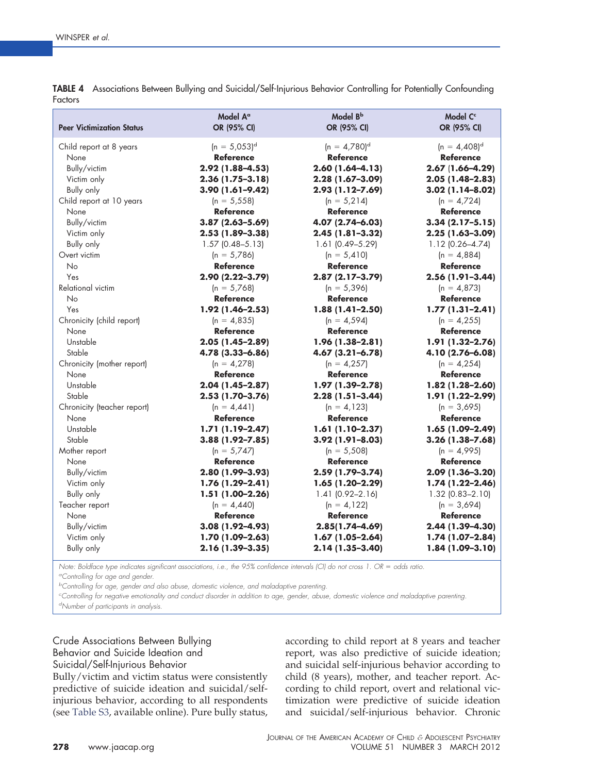| <b>Peer Victimization Status</b> | Model A <sup>a</sup><br>OR (95% CI) | Model B <sup>b</sup><br>OR (95% CI) | Model C <sup>c</sup><br>OR (95% CI) |
|----------------------------------|-------------------------------------|-------------------------------------|-------------------------------------|
|                                  |                                     |                                     |                                     |
| Child report at 8 years          | $(n = 5,053)^d$                     | $(n = 4.780)^d$                     | $(n = 4,408)^d$                     |
| None                             | <b>Reference</b>                    | <b>Reference</b>                    | <b>Reference</b>                    |
| Bully/victim                     | 2.92 (1.88-4.53)                    | $2.60(1.64 - 4.13)$                 | $2.67(1.66 - 4.29)$                 |
| Victim only                      | $2.36(1.75-3.18)$                   | 2.28 (1.67-3.09)                    | $2.05(1.48-2.83)$                   |
| <b>Bully only</b>                | 3.90 (1.61-9.42)                    | 2.93 (1.12-7.69)                    | $3.02(1.14 - 8.02)$                 |
| Child report at 10 years         | $(n = 5, 558)$                      | $(n = 5.214)$                       | $(n = 4,724)$                       |
| None                             | <b>Reference</b>                    | <b>Reference</b>                    | <b>Reference</b>                    |
| Bully/victim                     | $3.87(2.63 - 5.69)$                 | 4.07 (2.74-6.03)                    | $3.34(2.17 - 5.15)$                 |
| Victim only                      | $2.53(1.89 - 3.38)$                 | $2.45(1.81-3.32)$                   | $2.25(1.63 - 3.09)$                 |
| Bully only                       | $1.57$ (0.48-5.13)                  | $1.61$ (0.49-5.29)                  | $1.12$ (0.26-4.74)                  |
| Overt victim                     | $(n = 5,786)$                       | $(n = 5,410)$                       | $(n = 4,884)$                       |
| <b>No</b>                        | <b>Reference</b>                    | <b>Reference</b>                    | <b>Reference</b>                    |
| Yes                              | 2.90 (2.22-3.79)                    | $2.87(2.17-3.79)$                   | 2.56 (1.91-3.44)                    |
| Relational victim                | $(n = 5,768)$                       | $(n = 5,396)$                       | $(n = 4,873)$                       |
| <b>No</b>                        | <b>Reference</b>                    | <b>Reference</b>                    | <b>Reference</b>                    |
| Yes                              | 1.92 (1.46-2.53)                    | $1.88(1.41 - 2.50)$                 | $1.77(1.31 - 2.41)$                 |
| Chronicity (child report)        | $(n = 4,835)$                       | $(n = 4,594)$                       | $(n = 4, 255)$                      |
| None                             | <b>Reference</b>                    | <b>Reference</b>                    | <b>Reference</b>                    |
| Unstable                         | 2.05 (1.45-2.89)                    | 1.96 (1.38-2.81)                    | $1.91(1.32 - 2.76)$                 |
| Stable                           | 4.78 (3.33-6.86)                    | $4.67(3.21 - 6.78)$                 | 4.10 (2.76-6.08)                    |
| Chronicity (mother report)       | $(n = 4,278)$                       | $(n = 4,257)$                       | $(n = 4, 254)$                      |
| None                             | <b>Reference</b>                    | <b>Reference</b>                    | <b>Reference</b>                    |
| Unstable                         | $2.04(1.45-2.87)$                   | $1.97(1.39 - 2.78)$                 | $1.82(1.28 - 2.60)$                 |
| Stable                           | 2.53 (1.70-3.76)                    | $2.28(1.51-3.44)$                   | 1.91 (1.22-2.99)                    |
| Chronicity (teacher report)      | $(n = 4,441)$                       | $(n = 4, 123)$                      | $(n = 3,695)$                       |
| None                             | <b>Reference</b>                    | <b>Reference</b>                    | <b>Reference</b>                    |
| Unstable                         | $1.71(1.19-2.47)$                   | $1.61(1.10-2.37)$                   | $1.65(1.09-2.49)$                   |
| Stable                           | $3.88(1.92 - 7.85)$                 | $3.92(1.91 - 8.03)$                 | $3.26(1.38 - 7.68)$                 |
| Mother report                    | $(n = 5,747)$                       | $(n = 5,508)$                       | $(n = 4,995)$                       |
| None                             | <b>Reference</b>                    | <b>Reference</b>                    | <b>Reference</b>                    |
| Bully/victim                     | 2.80 (1.99-3.93)                    | 2.59 (1.79-3.74)                    | 2.09 (1.36-3.20)                    |
| Victim only                      | $1.76(1.29 - 2.41)$                 | $1.65(1.20-2.29)$                   | $1.74(1.22 - 2.46)$                 |
| Bully only                       | $1.51(1.00-2.26)$                   | $1.41(0.92 - 2.16)$                 | $1.32$ (0.83-2.10)                  |
| Teacher report                   | $(n = 4,440)$                       | $(n = 4, 122)$                      | $(n = 3,694)$                       |
| None                             | <b>Reference</b>                    | <b>Reference</b>                    | Reference                           |
| Bully/victim                     | 3.08 (1.92-4.93)                    | $2.85(1.74 - 4.69)$                 | 2.44 (1.39-4.30)                    |
| Victim only                      | $1.70(1.09 - 2.63)$                 | $1.67(1.05-2.64)$                   | $1.74(1.07-2.84)$                   |
| <b>Bully only</b>                | 2.16 (1.39-3.35)                    | 2.14 (1.35-3.40)                    | 1.84 (1.09-3.10)                    |

<span id="page-7-0"></span>**TABLE 4** Associations Between Bullying and Suicidal/Self-Injurious Behavior Controlling for Potentially Confounding Factors

*Note: Boldface type indicates significant associations, i.e., the 95% confidence intervals (CI) do not cross 1. OR* = odds ratio. *a Controlling for age and gender.*

*b Controlling for age, gender and also abuse, domestic violence, and maladaptive parenting.*

*c Controlling for negative emotionality and conduct disorder in addition to age, gender, abuse, domestic violence and maladaptive parenting. d Number of participants in analysis.*

# Crude Associations Between Bullying Behavior and Suicide Ideation and Suicidal/Self-Injurious Behavior

Bully/victim and victim status were consistently predictive of suicide ideation and suicidal/selfinjurious behavior, according to all respondents (see [Table S3,](#page-14-0) available online). Pure bully status, according to child report at 8 years and teacher report, was also predictive of suicide ideation; and suicidal self-injurious behavior according to child (8 years), mother, and teacher report. According to child report, overt and relational victimization were predictive of suicide ideation and suicidal/self-injurious behavior. Chronic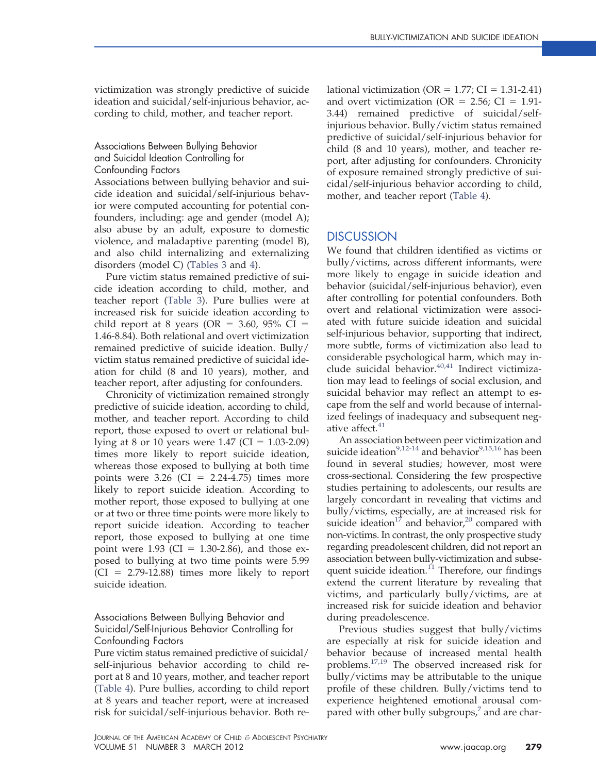victimization was strongly predictive of suicide ideation and suicidal/self-injurious behavior, according to child, mother, and teacher report.

## Associations Between Bullying Behavior and Suicidal Ideation Controlling for Confounding Factors

Associations between bullying behavior and suicide ideation and suicidal/self-injurious behavior were computed accounting for potential confounders, including: age and gender (model A); also abuse by an adult, exposure to domestic violence, and maladaptive parenting (model B), and also child internalizing and externalizing disorders (model C) [\(Tables 3](#page-6-0) and [4\)](#page-7-0).

Pure victim status remained predictive of suicide ideation according to child, mother, and teacher report [\(Table 3\)](#page-6-0). Pure bullies were at increased risk for suicide ideation according to child report at 8 years (OR =  $3.60$ ,  $95\%$  CI = 1.46-8.84). Both relational and overt victimization remained predictive of suicide ideation. Bully/ victim status remained predictive of suicidal ideation for child (8 and 10 years), mother, and teacher report, after adjusting for confounders.

Chronicity of victimization remained strongly predictive of suicide ideation, according to child, mother, and teacher report. According to child report, those exposed to overt or relational bullying at 8 or 10 years were  $1.47$  (CI =  $1.03-2.09$ ) times more likely to report suicide ideation, whereas those exposed to bullying at both time points were  $3.26$  (CI = 2.24-4.75) times more likely to report suicide ideation. According to mother report, those exposed to bullying at one or at two or three time points were more likely to report suicide ideation. According to teacher report, those exposed to bullying at one time point were  $1.93$  (CI =  $1.30$ -2.86), and those exposed to bullying at two time points were 5.99  $(CI = 2.79-12.88)$  times more likely to report suicide ideation.

## Associations Between Bullying Behavior and Suicidal/Self-Injurious Behavior Controlling for Confounding Factors

Pure victim status remained predictive of suicidal/ self-injurious behavior according to child report at 8 and 10 years, mother, and teacher report [\(Table 4\)](#page-7-0). Pure bullies, according to child report at 8 years and teacher report, were at increased risk for suicidal/self-injurious behavior. Both relational victimization ( $OR = 1.77$ ;  $CI = 1.31-2.41$ ) and overt victimization (OR =  $2.56$ ; CI = 1.91-3.44) remained predictive of suicidal/selfinjurious behavior. Bully/victim status remained predictive of suicidal/self-injurious behavior for child (8 and 10 years), mother, and teacher report, after adjusting for confounders. Chronicity of exposure remained strongly predictive of suicidal/self-injurious behavior according to child, mother, and teacher report [\(Table 4\)](#page-7-0).

## **DISCUSSION**

We found that children identified as victims or bully/victims, across different informants, were more likely to engage in suicide ideation and behavior (suicidal/self-injurious behavior), even after controlling for potential confounders. Both overt and relational victimization were associated with future suicide ideation and suicidal self-injurious behavior, supporting that indirect, more subtle, forms of victimization also lead to considerable psychological harm, which may in-clude suicidal behavior.<sup>[40,41](#page-11-9)</sup> Indirect victimization may lead to feelings of social exclusion, and suicidal behavior may reflect an attempt to escape from the self and world because of internalized feelings of inadequacy and subsequent neg-ative affect.<sup>[41](#page-11-10)</sup>

An association between peer victimization and suicide ideation<sup>9,12-14</sup> and behavior<sup>9,15,16</sup> has been found in several studies; however, most were cross-sectional. Considering the few prospective studies pertaining to adolescents, our results are largely concordant in revealing that victims and bully/victims, especially, are at increased risk for suicide ideation<sup>17</sup> and behavior,<sup>20</sup> compared with non-victims. In contrast, the only prospective study regarding preadolescent children, did not report an association between bully-victimization and subsequent suicide ideation. $^{11}$  Therefore, our findings extend the current literature by revealing that victims, and particularly bully/victims, are at increased risk for suicide ideation and behavior during preadolescence.

Previous studies suggest that bully/victims are especially at risk for suicide ideation and behavior because of increased mental health problems[.17,19](#page-10-6) The observed increased risk for bully/victims may be attributable to the unique profile of these children. Bully/victims tend to experience heightened emotional arousal compared with other bully subgroups,<sup>7</sup> and are char-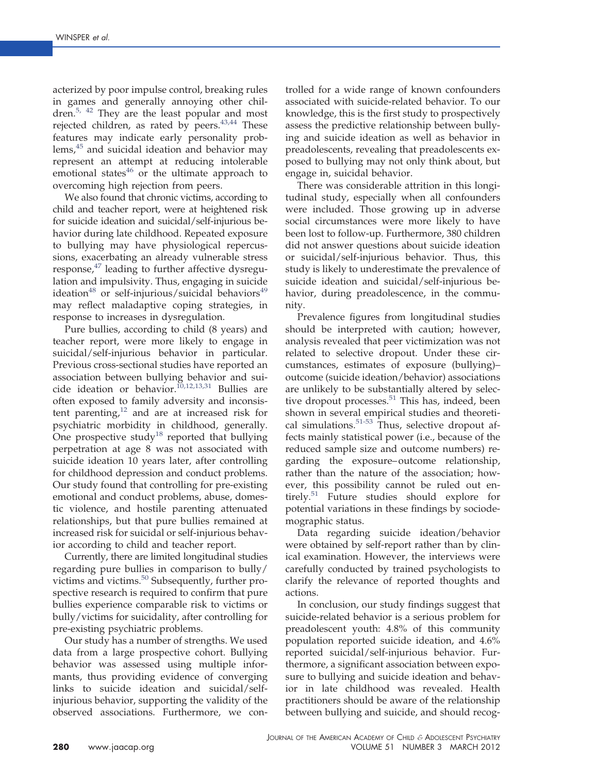acterized by poor impulse control, breaking rules in games and generally annoying other children.[5, 42](#page-10-3) They are the least popular and most rejected children, as rated by peers.<sup>43,44</sup> These features may indicate early personality problems, $45$  and suicidal ideation and behavior may represent an attempt at reducing intolerable emotional states $46$  or the ultimate approach to overcoming high rejection from peers.

We also found that chronic victims, according to child and teacher report, were at heightened risk for suicide ideation and suicidal/self-injurious behavior during late childhood. Repeated exposure to bullying may have physiological repercussions, exacerbating an already vulnerable stress response, $47$  leading to further affective dysregulation and impulsivity. Thus, engaging in suicide  $ideation<sup>48</sup>$  $ideation<sup>48</sup>$  $ideation<sup>48</sup>$  or self-injurious/suicidal behaviors<sup>[49](#page-11-16)</sup> may reflect maladaptive coping strategies, in response to increases in dysregulation.

Pure bullies, according to child (8 years) and teacher report, were more likely to engage in suicidal/self-injurious behavior in particular. Previous cross-sectional studies have reported an association between bullying behavior and suicide ideation or behavior.<sup>10,12,13,31</sup> Bullies are often exposed to family adversity and inconsistent parenting, $12$  and are at increased risk for psychiatric morbidity in childhood, generally. One prospective study<sup>[18](#page-10-18)</sup> reported that bullying perpetration at age 8 was not associated with suicide ideation 10 years later, after controlling for childhood depression and conduct problems. Our study found that controlling for pre-existing emotional and conduct problems, abuse, domestic violence, and hostile parenting attenuated relationships, but that pure bullies remained at increased risk for suicidal or self-injurious behavior according to child and teacher report.

Currently, there are limited longitudinal studies regarding pure bullies in comparison to bully/ victims and victims. $50$  Subsequently, further prospective research is required to confirm that pure bullies experience comparable risk to victims or bully/victims for suicidality, after controlling for pre-existing psychiatric problems.

Our study has a number of strengths. We used data from a large prospective cohort. Bullying behavior was assessed using multiple informants, thus providing evidence of converging links to suicide ideation and suicidal/selfinjurious behavior, supporting the validity of the observed associations. Furthermore, we con-

trolled for a wide range of known confounders associated with suicide-related behavior. To our knowledge, this is the first study to prospectively assess the predictive relationship between bullying and suicide ideation as well as behavior in preadolescents, revealing that preadolescents exposed to bullying may not only think about, but engage in, suicidal behavior.

There was considerable attrition in this longitudinal study, especially when all confounders were included. Those growing up in adverse social circumstances were more likely to have been lost to follow-up. Furthermore, 380 children did not answer questions about suicide ideation or suicidal/self-injurious behavior. Thus, this study is likely to underestimate the prevalence of suicide ideation and suicidal/self-injurious behavior, during preadolescence, in the community.

Prevalence figures from longitudinal studies should be interpreted with caution; however, analysis revealed that peer victimization was not related to selective dropout. Under these circumstances, estimates of exposure (bullying)– outcome (suicide ideation/behavior) associations are unlikely to be substantially altered by selec-tive dropout processes.<sup>[51](#page-11-18)</sup> This has, indeed, been shown in several empirical studies and theoretical simulations. $51-53$  Thus, selective dropout affects mainly statistical power (i.e., because of the reduced sample size and outcome numbers) regarding the exposure– outcome relationship, rather than the nature of the association; however, this possibility cannot be ruled out entirely.<sup>51</sup> Future studies should explore for potential variations in these findings by sociodemographic status.

Data regarding suicide ideation/behavior were obtained by self-report rather than by clinical examination. However, the interviews were carefully conducted by trained psychologists to clarify the relevance of reported thoughts and actions.

In conclusion, our study findings suggest that suicide-related behavior is a serious problem for preadolescent youth: 4.8% of this community population reported suicide ideation, and 4.6% reported suicidal/self-injurious behavior. Furthermore, a significant association between exposure to bullying and suicide ideation and behavior in late childhood was revealed. Health practitioners should be aware of the relationship between bullying and suicide, and should recog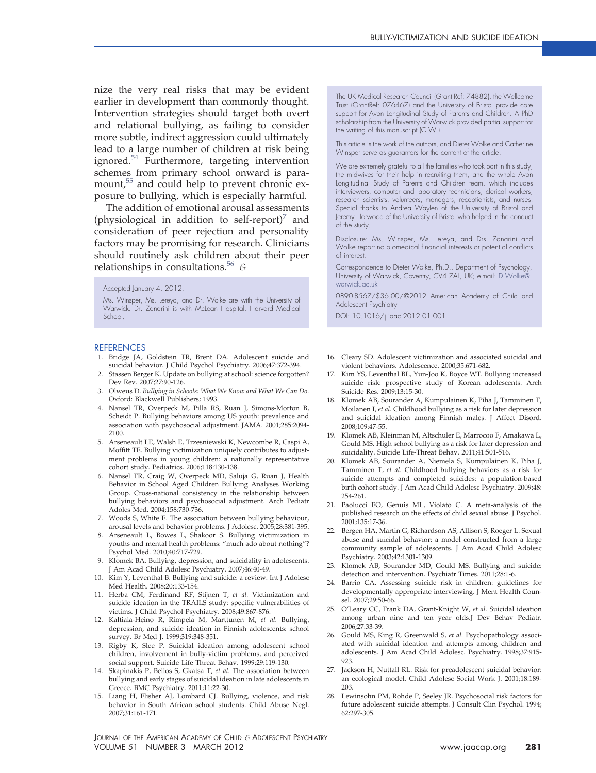nize the very real risks that may be evident earlier in development than commonly thought. Intervention strategies should target both overt and relational bullying, as failing to consider more subtle, indirect aggression could ultimately lead to a large number of children at risk being ignored.[54](#page-11-19) Furthermore, targeting intervention schemes from primary school onward is paramount,<sup>55</sup> and could help to prevent chronic exposure to bullying, which is especially harmful.

The addition of emotional arousal assessments (physiological in addition to self-report) $\frac{1}{2}$  and consideration of peer rejection and personality factors may be promising for research. Clinicians should routinely ask children about their peer relationships in consultations.[56](#page-11-21) *&*

#### Accepted January 4, 2012.

Ms. Winsper, Ms. Lereya, and Dr. Wolke are with the University of Warwick. Dr. Zanarini is with McLean Hospital, Harvard Medical School.

#### <span id="page-10-0"></span>**REFERENCES**

- <span id="page-10-1"></span>1. Bridge JA, Goldstein TR, Brent DA. Adolescent suicide and suicidal behavior. J Child Psychol Psychiatry. 2006;47:372-394.
- 2. Stassen Berger K. Update on bullying at school: science forgotten? Dev Rev. 2007;27:90-126.
- <span id="page-10-2"></span>3. Olweus D. *Bullying in Schools: What We Know and What We Can Do.* Oxford: Blackwell Publishers; 1993.
- 4. Nansel TR, Overpeck M, Pilla RS, Ruan J, Simons-Morton B, Scheidt P. Bullying behaviors among US youth: prevalence and association with psychosocial adjustment. JAMA. 2001;285:2094- 2100.
- <span id="page-10-3"></span>5. Arseneault LE, Walsh E, Trzesniewski K, Newcombe R, Caspi A, Moffitt TE. Bullying victimization uniquely contributes to adjustment problems in young children: a nationally representative cohort study. Pediatrics. 2006;118:130-138.
- <span id="page-10-4"></span>6. Nansel TR, Craig W, Overpeck MD, Saluja G, Ruan J, Health Behavior in School Aged Children Bullying Analyses Working Group. Cross-national consistency in the relationship between bullying behaviors and psychosocial adjustment. Arch Pediatr Adoles Med. 2004;158:730-736.
- <span id="page-10-15"></span>7. Woods S, White E. The association between bullying behaviour, arousal levels and behavior problems. J Adolesc. 2005;28:381-395.
- <span id="page-10-5"></span>8. Arseneault L, Bowes L, Shakoor S. Bullying victimization in youths and mental health problems: "much ado about nothing"? Psychol Med. 2010;40:717-729.
- <span id="page-10-16"></span>9. Klomek BA. Bullying, depression, and suicidality in adolescents. J Am Acad Child Adolesc Psychiatry. 2007;46:40-49.
- <span id="page-10-10"></span>10. Kim Y, Leventhal B. Bullying and suicide: a review. Int J Adolesc Med Health. 2008;20:133-154.
- <span id="page-10-17"></span>11. Herba CM, Ferdinand RF, Stijnen T, *et al.* Victimization and suicide ideation in the TRAILS study: specific vulnerabilities of victims. J Child Psychol Psychiatry. 2008;49:867-876.
- 12. Kaltiala-Heino R, Rimpela M, Marttunen M, *et al.* Bullying, depression, and suicide ideation in Finnish adolescents: school survey. Br Med J. 1999;319:348-351.
- 13. Rigby K, Slee P. Suicidal ideation among adolescent school children, involvement in bully-victim problems, and perceived social support. Suicide Life Threat Behav. 1999;29:119-130.
- 14. Skapinakis P, Bellos S, Gkatsa T, *et al.* The association between bullying and early stages of suicidal ideation in late adolescents in Greece. BMC Psychiatry. 2011;11:22-30.
- 15. Liang H, Flisher AJ, Lombard CJ. Bullying, violence, and risk behavior in South African school students. Child Abuse Negl. 2007;31:161-171.

The UK Medical Research Council (Grant Ref: 74882), the Wellcome Trust (GrantRef: 076467) and the University of Bristol provide core support for Avon Longitudinal Study of Parents and Children. A PhD scholarship from the University of Warwick provided partial support for the writing of this manuscript (C.W.).

This article is the work of the authors, and Dieter Wolke and Catherine Winsper serve as guarantors for the content of the article.

We are extremely grateful to all the families who took part in this study, the midwives for their help in recruiting them, and the whole Avon Longitudinal Study of Parents and Children team, which includes interviewers, computer and laboratory technicians, clerical workers, research scientists, volunteers, managers, receptionists, and nurses. Special thanks to Andrea Waylen of the University of Bristol and Jeremy Horwood of the University of Bristol who helped in the conduct of the study.

Disclosure: Ms. Winsper, Ms. Lereya, and Drs. Zanarini and Wolke report no biomedical financial interests or potential conflicts of interest.

Correspondence to Dieter Wolke, Ph.D., Department of Psychology, University of Warwick, Coventry, CV4 7AL, UK; e-mail: [D.Wolke@](mailto:D.Wolke@warwick.ac.uk) [warwick.ac.uk](mailto:D.Wolke@warwick.ac.uk)

0890-8567/\$36.00/©2012 American Academy of Child and Adolescent Psychiatry

DOI: 10.1016/j.jaac.2012.01.001

- <span id="page-10-6"></span>16. Cleary SD. Adolescent victimization and associated suicidal and violent behaviors. Adolescence. 2000;35:671-682.
- 17. Kim YS, Leventhal BL, Yun-Joo K, Boyce WT. Bullying increased suicide risk: prospective study of Korean adolescents. Arch Suicide Res. 2009;13:15-30.
- <span id="page-10-18"></span>18. Klomek AB, Sourander A, Kumpulainen K, Piha J, Tamminen T, Moilanen I, *et al.* Childhood bullying as a risk for later depression and suicidal ideation among Finnish males. J Affect Disord. 2008;109:47-55.
- 19. Klomek AB, Kleinman M, Altschuler E, Marrocoo F, Amakawa L, Gould MS. High school bullying as a risk for later depression and suicidality. Suicide Life-Threat Behav. 2011;41:501-516.
- <span id="page-10-14"></span>20. Klomek AB, Sourander A, Niemela S, Kumpulainen K, Piha J, Tamminen T, *et al.* Childhood bullying behaviors as a risk for suicide attempts and completed suicides: a population-based birth cohort study. J Am Acad Child Adolesc Psychiatry. 2009;48: 254-261.
- <span id="page-10-8"></span><span id="page-10-7"></span>21. Paolucci EO, Genuis ML, Violato C. A meta-analysis of the published research on the effects of child sexual abuse. J Psychol. 2001;135:17-36.
- 22. Bergen HA, Martin G, Richardson AS, Allison S, Roeger L. Sexual abuse and suicidal behavior: a model constructed from a large community sample of adolescents. J Am Acad Child Adolesc Psychiatry. 2003;42:1301-1309.
- <span id="page-10-11"></span><span id="page-10-9"></span>23. Klomek AB, Sourander MD, Gould MS. Bullying and suicide: detection and intervention. Psychiatr Times. 2011;28:1-6.
- <span id="page-10-13"></span>24. Barrio CA. Assessing suicide risk in children: guidelines for developmentally appropriate interviewing. J Ment Health Counsel. 2007;29:50-66.
- 25. O'Leary CC, Frank DA, Grant-Knight W, *et al.* Suicidal ideation among urban nine and ten year olds.J Dev Behav Pediatr. 2006;27:33-39.
- 26. Gould MS, King R, Greenwald S, *et al.* Psychopathology associated with suicidal ideation and attempts among children and adolescents. J Am Acad Child Adolesc. Psychiatry. 1998;37:915- 923.
- <span id="page-10-12"></span>27. Jackson H, Nuttall RL. Risk for preadolescent suicidal behavior: an ecological model. Child Adolesc Social Work J. 2001;18:189- 203.
- 28. Lewinsohn PM, Rohde P, Seeley JR. Psychosocial risk factors for future adolescent suicide attempts. J Consult Clin Psychol. 1994; 62:297-305.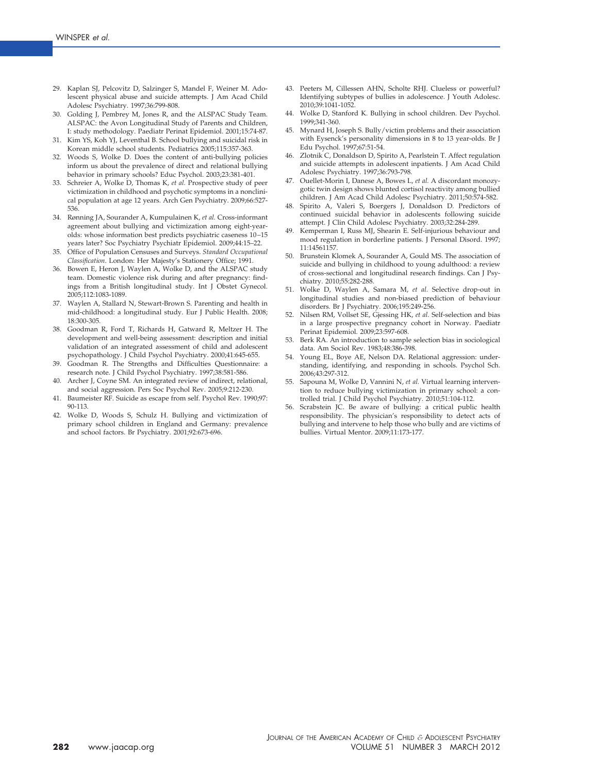- <span id="page-11-0"></span>29. Kaplan SJ, Pelcovitz D, Salzinger S, Mandel F, Weiner M. Adolescent physical abuse and suicide attempts. J Am Acad Child Adolesc Psychiatry. 1997;36:799-808.
- <span id="page-11-1"></span>30. Golding J, Pembrey M, Jones R, and the ALSPAC Study Team. ALSPAC: the Avon Longitudinal Study of Parents and Children, I: study methodology. Paediatr Perinat Epidemiol. 2001;15:74-87.
- 31. Kim YS, Koh YJ, Leventhal B. School bullying and suicidal risk in Korean middle school students. Pediatrics 2005;115:357-363.
- <span id="page-11-2"></span>32. Woods S, Wolke D. Does the content of anti-bullying policies inform us about the prevalence of direct and relational bullying behavior in primary schools? Educ Psychol. 2003;23:381-401.
- <span id="page-11-3"></span>33. Schreier A, Wolke D, Thomas K, *et al.* Prospective study of peer victimization in childhood and psychotic symptoms in a nonclinical population at age 12 years. Arch Gen Psychiatry. 2009;66:527- 536.
- <span id="page-11-4"></span>34. Rønning JA, Sourander A, Kumpulainen K, *et al.* Cross-informant agreement about bullying and victimization among eight-yearolds: whose information best predicts psychiatric caseness 10 –15 years later? Soc Psychiatry Psychiatr Epidemiol. 2009;44:15–22.
- <span id="page-11-6"></span><span id="page-11-5"></span>35. Office of Population Censuses and Surveys. *Standard Occupational Classification*. London: Her Majesty's Stationery Office; 1991.
- 36. Bowen E, Heron J, Waylen A, Wolke D, and the ALSPAC study team. Domestic violence risk during and after pregnancy: findings from a British longitudinal study. Int J Obstet Gynecol. 2005;112:1083-1089.
- <span id="page-11-7"></span>37. Waylen A, Stallard N, Stewart-Brown S. Parenting and health in mid-childhood: a longitudinal study. Eur J Public Health. 2008; 18:300-305.
- <span id="page-11-8"></span>38. Goodman R, Ford T, Richards H, Gatward R, Meltzer H. The development and well-being assessment: description and initial validation of an integrated assessment of child and adolescent psychopathology. J Child Psychol Psychiatry. 2000;41:645-655.
- <span id="page-11-9"></span>39. Goodman R. The Strengths and Difficulties Questionnaire: a research note. J Child Psychol Psychiatry. 1997;38:581-586.
- <span id="page-11-10"></span>40. Archer J, Coyne SM. An integrated review of indirect, relational, and social aggression. Pers Soc Psychol Rev. 2005;9:212-230.
- 41. Baumeister RF. Suicide as escape from self. Psychol Rev. 1990;97: 90-113.
- 42. Wolke D, Woods S, Schulz H. Bullying and victimization of primary school children in England and Germany: prevalence and school factors. Br Psychiatry. 2001;92:673-696.
- <span id="page-11-11"></span>43. Peeters M, Cillessen AHN, Scholte RHJ. Clueless or powerful? Identifying subtypes of bullies in adolescence. J Youth Adolesc. 2010;39:1041-1052.
- <span id="page-11-12"></span>44. Wolke D, Stanford K. Bullying in school children. Dev Psychol. 1999;341-360.
- 45. Mynard H, Joseph S. Bully/victim problems and their association with Eysenck's personality dimensions in 8 to 13 year-olds. Br J Edu Psychol. 1997;67:51-54.
- <span id="page-11-13"></span>46. Zlotnik C, Donaldson D, Spirito A, Pearlstein T. Affect regulation and suicide attempts in adolescent inpatients. J Am Acad Child Adolesc Psychiatry. 1997;36:793-798.
- <span id="page-11-14"></span>47. Ouellet-Morin I, Danese A, Bowes L, *et al.* A discordant monozygotic twin design shows blunted cortisol reactivity among bullied children. J Am Acad Child Adolesc Psychiatry. 2011;50:574-582.
- <span id="page-11-15"></span>Spirito A, Valeri S, Boergers J, Donaldson D. Predictors of continued suicidal behavior in adolescents following suicide attempt. J Clin Child Adolesc Psychiatry. 2003;32:284-289.
- <span id="page-11-16"></span>Kemperman I, Russ MJ, Shearin E. Self-injurious behaviour and mood regulation in borderline patients. J Personal Disord. 1997; 11:14561157.
- <span id="page-11-17"></span>50. Brunstein Klomek A, Sourander A, Gould MS. The association of suicide and bullying in childhood to young adulthood: a review of cross-sectional and longitudinal research findings. Can J Psychiatry. 2010;55:282-288.
- <span id="page-11-18"></span>51. Wolke D, Waylen A, Samara M, *et al.* Selective drop-out in longitudinal studies and non-biased prediction of behaviour disorders. Br J Psychiatry. 2006;195:249-256.
- 52. Nilsen RM, Vollset SE, Gjessing HK, *et al.* Self-selection and bias in a large prospective pregnancy cohort in Norway. Paediatr Perinat Epidemiol. 2009;23:597-608.
- <span id="page-11-19"></span>53. Berk RA. An introduction to sample selection bias in sociological data. Am Sociol Rev. 1983;48:386-398.
- 54. Young EL, Boye AE, Nelson DA. Relational aggression: understanding, identifying, and responding in schools. Psychol Sch. 2006;43:297-312.
- <span id="page-11-21"></span><span id="page-11-20"></span>55. Sapouna M, Wolke D, Vannini N, *et al.* Virtual learning intervention to reduce bullying victimization in primary school: a controlled trial. J Child Psychol Psychiatry. 2010;51:104-112.
- Scrabstein JC. Be aware of bullying: a critical public health responsibility. The physician's responsibility to detect acts of bullying and intervene to help those who bully and are victims of bullies. Virtual Mentor. 2009;11:173-177.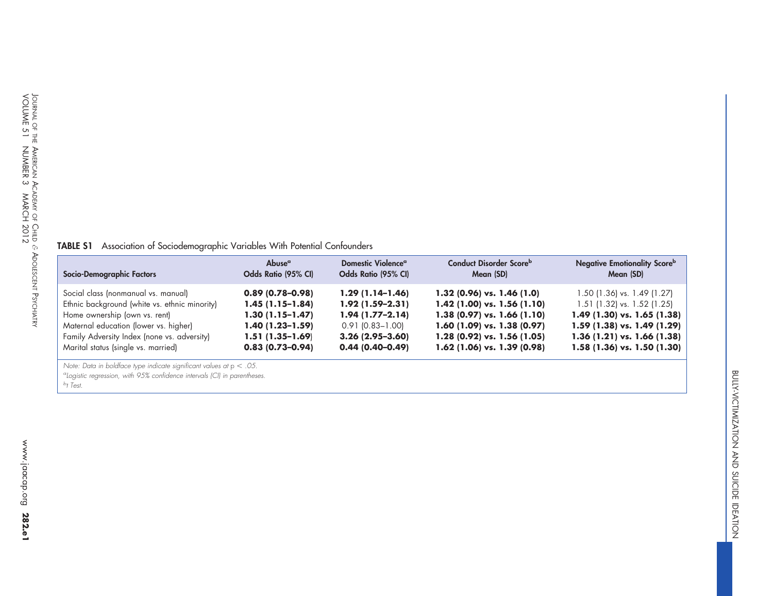## **TABLE S1** Association of Sociodemographic Variables With Potential Confounders

| Socio-Demographic Factors                     | Abuse <sup>a</sup>  | Domestic Violence <sup>a</sup> | Conduct Disorder Scoreb         | <b>Negative Emotionality Score</b> b |
|-----------------------------------------------|---------------------|--------------------------------|---------------------------------|--------------------------------------|
|                                               | Odds Ratio (95% CI) | Odds Ratio (95% CI)            | Mean (SD)                       | Mean (SD)                            |
| Social class (nonmanual vs. manual)           | $0.89(0.78-0.98)$   | $1.29(1.14-1.46)$              | $1.32$ (0.96) vs. 1.46 (1.0)    | 1.50 (1.36) vs. 1.49 (1.27)          |
| Ethnic background (white vs. ethnic minority) | $1.45(1.15-1.84)$   | $1.92(1.59-2.31)$              | $1.42$ (1.00) vs. 1.56 (1.10)   | $1.51$ (1.32) vs. 1.52 (1.25)        |
| Home ownership (own vs. rent)                 | $1.30(1.15-1.47)$   | $1.94(1.77-2.14)$              | $1.38$ (0.97) vs. 1.66 (1.10)   | 1.49 (1.30) vs. 1.65 (1.38)          |
| Maternal education (lower vs. higher)         | $1.40(1.23-1.59)$   | $0.91$ (0.83-1.00)             | 1.60 $(1.09)$ vs. 1.38 $(0.97)$ | 1.59 (1.38) vs. 1.49 (1.29)          |
| Family Adversity Index (none vs. adversity)   | $1.51(1.35-1.69)$   | $3.26(2.95-3.60)$              | 1.28 (0.92) vs. 1.56 (1.05)     | 1.36 $(1.21)$ vs. 1.66 $(1.38)$      |
| Marital status (single vs. married)           | $0.83(0.73-0.94)$   | $0.44(0.40-0.49)$              | $1.62$ (1.06) vs. 1.39 (0.98)   | 1.58 (1.36) vs. 1.50 (1.30)          |

*Note: Data in boldface type indicate significant values at* <sup>p</sup> *.05.*

*aLogistic regression, with 95% confidence intervals (CI) in parentheses.*

<span id="page-12-0"></span>*bt Test.*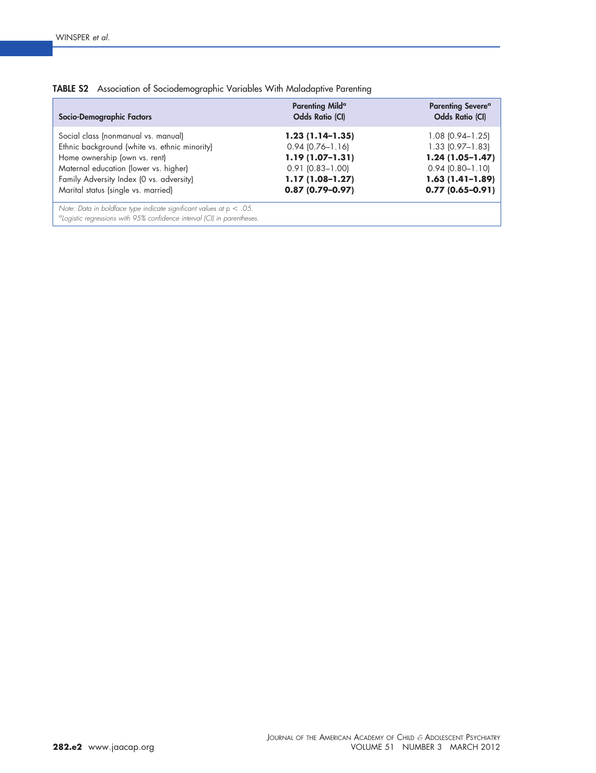| Socio-Demographic Factors                                                                                                                                                                                                                         | Parenting Mild <sup>a</sup><br><b>Odds Ratio (CI)</b>                                                                                  | <b>Parenting Severe<sup>a</sup></b><br><b>Odds Ratio (CI)</b>                                                                           |
|---------------------------------------------------------------------------------------------------------------------------------------------------------------------------------------------------------------------------------------------------|----------------------------------------------------------------------------------------------------------------------------------------|-----------------------------------------------------------------------------------------------------------------------------------------|
| Social class (nonmanual vs. manual)<br>Ethnic background (white vs. ethnic minority)<br>Home ownership (own vs. rent)<br>Maternal education (lower vs. higher)<br>Family Adversity Index (O vs. adversity)<br>Marital status (single vs. married) | $1.23(1.14-1.35)$<br>$0.94$ $(0.76 - 1.16)$<br>$1.19(1.07-1.31)$<br>$0.91$ $(0.83 - 1.00)$<br>$1.17(1.08-1.27)$<br>$0.87(0.79 - 0.97)$ | $1.08$ (0.94–1.25)<br>$1.33$ $(0.97 - 1.83)$<br>$1.24(1.05-1.47)$<br>$0.94$ $(0.80 - 1.10)$<br>$1.63(1.41-1.89)$<br>$0.77(0.65 - 0.91)$ |
| Note: Data in boldface type indicate significant values at $p < .05$ .<br><sup>a</sup> Logistic regressions with 95% confidence interval (CI) in parentheses.                                                                                     |                                                                                                                                        |                                                                                                                                         |

<span id="page-13-0"></span>

|  | TABLE S2 Association of Sociodemographic Variables With Maladaptive Parenting |  |  |
|--|-------------------------------------------------------------------------------|--|--|
|  |                                                                               |  |  |